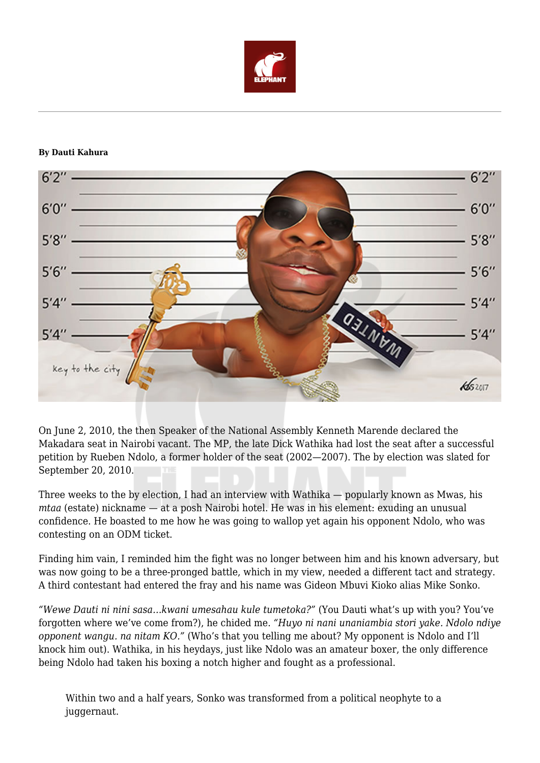

## **By Dauti Kahura**



On June 2, 2010, the then Speaker of the National Assembly Kenneth Marende declared the Makadara seat in Nairobi vacant. The MP, the late Dick Wathika had lost the seat after a successful petition by Rueben Ndolo, a former holder of the seat (2002—2007). The by election was slated for September 20, 2010.

Three weeks to the by election, I had an interview with Wathika — popularly known as Mwas, his *mtaa* (estate) nickname — at a posh Nairobi hotel. He was in his element: exuding an unusual confidence. He boasted to me how he was going to wallop yet again his opponent Ndolo, who was contesting on an ODM ticket.

Finding him vain, I reminded him the fight was no longer between him and his known adversary, but was now going to be a three-pronged battle, which in my view, needed a different tact and strategy. A third contestant had entered the fray and his name was Gideon Mbuvi Kioko alias Mike Sonko.

*"Wewe Dauti ni nini sasa…kwani umesahau kule tumetoka?"* (You Dauti what's up with you? You've forgotten where we've come from?), he chided me. *"Huyo ni nani unaniambia stori yake. Ndolo ndiye opponent wangu. na nitam KO."* (Who's that you telling me about? My opponent is Ndolo and I'll knock him out). Wathika, in his heydays, just like Ndolo was an amateur boxer, the only difference being Ndolo had taken his boxing a notch higher and fought as a professional.

Within two and a half years, Sonko was transformed from a political neophyte to a juggernaut.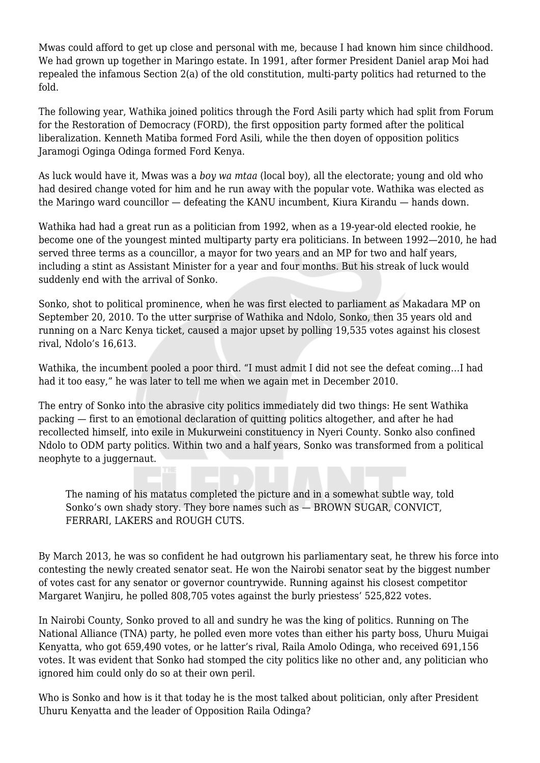Mwas could afford to get up close and personal with me, because I had known him since childhood. We had grown up together in Maringo estate. In 1991, after former President Daniel arap Moi had repealed the infamous Section 2(a) of the old constitution, multi-party politics had returned to the fold.

The following year, Wathika joined politics through the Ford Asili party which had split from Forum for the Restoration of Democracy (FORD), the first opposition party formed after the political liberalization. Kenneth Matiba formed Ford Asili, while the then doyen of opposition politics Jaramogi Oginga Odinga formed Ford Kenya.

As luck would have it, Mwas was a *boy wa mtaa* (local boy), all the electorate; young and old who had desired change voted for him and he run away with the popular vote. Wathika was elected as the Maringo ward councillor — defeating the KANU incumbent, Kiura Kirandu — hands down.

Wathika had had a great run as a politician from 1992, when as a 19-year-old elected rookie, he become one of the youngest minted multiparty party era politicians. In between 1992—2010, he had served three terms as a councillor, a mayor for two years and an MP for two and half years, including a stint as Assistant Minister for a year and four months. But his streak of luck would suddenly end with the arrival of Sonko.

Sonko, shot to political prominence, when he was first elected to parliament as Makadara MP on September 20, 2010. To the utter surprise of Wathika and Ndolo, Sonko, then 35 years old and running on a Narc Kenya ticket, caused a major upset by polling 19,535 votes against his closest rival, Ndolo's 16,613.

Wathika, the incumbent pooled a poor third. "I must admit I did not see the defeat coming…I had had it too easy," he was later to tell me when we again met in December 2010.

The entry of Sonko into the abrasive city politics immediately did two things: He sent Wathika packing — first to an emotional declaration of quitting politics altogether, and after he had recollected himself, into exile in Mukurweini constituency in Nyeri County. Sonko also confined Ndolo to ODM party politics. Within two and a half years, Sonko was transformed from a political neophyte to a juggernaut.

The naming of his matatus completed the picture and in a somewhat subtle way, told Sonko's own shady story. They bore names such as — BROWN SUGAR, CONVICT, FERRARI, LAKERS and ROUGH CUTS.

By March 2013, he was so confident he had outgrown his parliamentary seat, he threw his force into contesting the newly created senator seat. He won the Nairobi senator seat by the biggest number of votes cast for any senator or governor countrywide. Running against his closest competitor Margaret Wanjiru, he polled 808,705 votes against the burly priestess' 525,822 votes.

In Nairobi County, Sonko proved to all and sundry he was the king of politics. Running on The National Alliance (TNA) party, he polled even more votes than either his party boss, Uhuru Muigai Kenyatta, who got 659,490 votes, or he latter's rival, Raila Amolo Odinga, who received 691,156 votes. It was evident that Sonko had stomped the city politics like no other and, any politician who ignored him could only do so at their own peril.

Who is Sonko and how is it that today he is the most talked about politician, only after President Uhuru Kenyatta and the leader of Opposition Raila Odinga?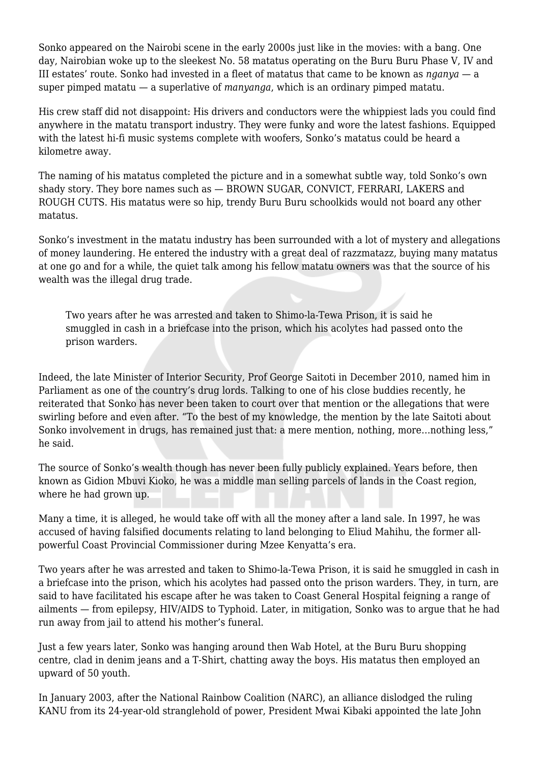Sonko appeared on the Nairobi scene in the early 2000s just like in the movies: with a bang. One day, Nairobian woke up to the sleekest No. 58 matatus operating on the Buru Buru Phase V, IV and III estates' route. Sonko had invested in a fleet of matatus that came to be known as *nganya* — a super pimped matatu — a superlative of *manyanga*, which is an ordinary pimped matatu.

His crew staff did not disappoint: His drivers and conductors were the whippiest lads you could find anywhere in the matatu transport industry. They were funky and wore the latest fashions. Equipped with the latest hi-fi music systems complete with woofers, Sonko's matatus could be heard a kilometre away.

The naming of his matatus completed the picture and in a somewhat subtle way, told Sonko's own shady story. They bore names such as — BROWN SUGAR, CONVICT, FERRARI, LAKERS and ROUGH CUTS. His matatus were so hip, trendy Buru Buru schoolkids would not board any other matatus.

Sonko's investment in the matatu industry has been surrounded with a lot of mystery and allegations of money laundering. He entered the industry with a great deal of razzmatazz, buying many matatus at one go and for a while, the quiet talk among his fellow matatu owners was that the source of his wealth was the illegal drug trade.

Two years after he was arrested and taken to Shimo-la-Tewa Prison, it is said he smuggled in cash in a briefcase into the prison, which his acolytes had passed onto the prison warders.

Indeed, the late Minister of Interior Security, Prof George Saitoti in December 2010, named him in Parliament as one of the country's drug lords. Talking to one of his close buddies recently, he reiterated that Sonko has never been taken to court over that mention or the allegations that were swirling before and even after. "To the best of my knowledge, the mention by the late Saitoti about Sonko involvement in drugs, has remained just that: a mere mention, nothing, more…nothing less," he said.

The source of Sonko's wealth though has never been fully publicly explained. Years before, then known as Gidion Mbuvi Kioko, he was a middle man selling parcels of lands in the Coast region, where he had grown up.

Many a time, it is alleged, he would take off with all the money after a land sale. In 1997, he was accused of having falsified documents relating to land belonging to Eliud Mahihu, the former allpowerful Coast Provincial Commissioner during Mzee Kenyatta's era.

Two years after he was arrested and taken to Shimo-la-Tewa Prison, it is said he smuggled in cash in a briefcase into the prison, which his acolytes had passed onto the prison warders. They, in turn, are said to have facilitated his escape after he was taken to Coast General Hospital feigning a range of ailments — from epilepsy, HIV/AIDS to Typhoid. Later, in mitigation, Sonko was to argue that he had run away from jail to attend his mother's funeral.

Just a few years later, Sonko was hanging around then Wab Hotel, at the Buru Buru shopping centre, clad in denim jeans and a T-Shirt, chatting away the boys. His matatus then employed an upward of 50 youth.

In January 2003, after the National Rainbow Coalition (NARC), an alliance dislodged the ruling KANU from its 24-year-old stranglehold of power, President Mwai Kibaki appointed the late John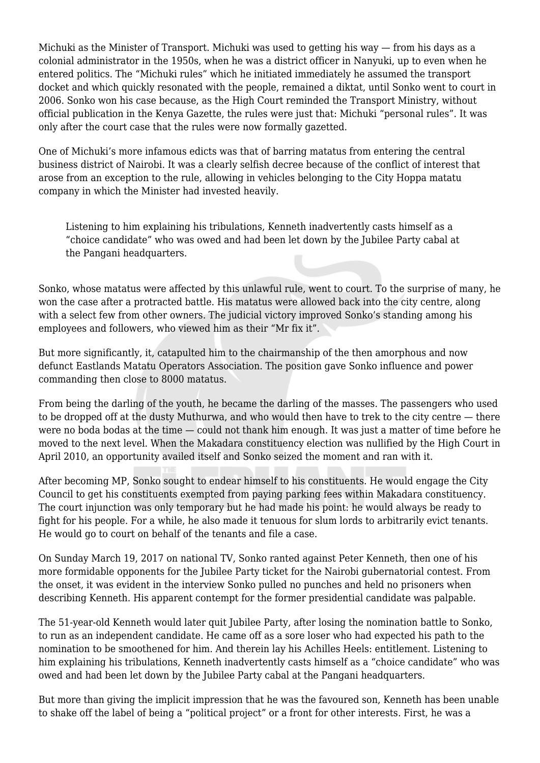Michuki as the Minister of Transport. Michuki was used to getting his way — from his days as a colonial administrator in the 1950s, when he was a district officer in Nanyuki, up to even when he entered politics. The "Michuki rules" which he initiated immediately he assumed the transport docket and which quickly resonated with the people, remained a diktat, until Sonko went to court in 2006. Sonko won his case because, as the High Court reminded the Transport Ministry, without official publication in the Kenya Gazette, the rules were just that: Michuki "personal rules". It was only after the court case that the rules were now formally gazetted.

One of Michuki's more infamous edicts was that of barring matatus from entering the central business district of Nairobi. It was a clearly selfish decree because of the conflict of interest that arose from an exception to the rule, allowing in vehicles belonging to the City Hoppa matatu company in which the Minister had invested heavily.

Listening to him explaining his tribulations, Kenneth inadvertently casts himself as a "choice candidate" who was owed and had been let down by the Jubilee Party cabal at the Pangani headquarters.

Sonko, whose matatus were affected by this unlawful rule, went to court. To the surprise of many, he won the case after a protracted battle. His matatus were allowed back into the city centre, along with a select few from other owners. The judicial victory improved Sonko's standing among his employees and followers, who viewed him as their "Mr fix it".

But more significantly, it, catapulted him to the chairmanship of the then amorphous and now defunct Eastlands Matatu Operators Association. The position gave Sonko influence and power commanding then close to 8000 matatus.

From being the darling of the youth, he became the darling of the masses. The passengers who used to be dropped off at the dusty Muthurwa, and who would then have to trek to the city centre — there were no boda bodas at the time — could not thank him enough. It was just a matter of time before he moved to the next level. When the Makadara constituency election was nullified by the High Court in April 2010, an opportunity availed itself and Sonko seized the moment and ran with it.

After becoming MP, Sonko sought to endear himself to his constituents. He would engage the City Council to get his constituents exempted from paying parking fees within Makadara constituency. The court injunction was only temporary but he had made his point: he would always be ready to fight for his people. For a while, he also made it tenuous for slum lords to arbitrarily evict tenants. He would go to court on behalf of the tenants and file a case.

On Sunday March 19, 2017 on national TV, Sonko ranted against Peter Kenneth, then one of his more formidable opponents for the Jubilee Party ticket for the Nairobi gubernatorial contest. From the onset, it was evident in the interview Sonko pulled no punches and held no prisoners when describing Kenneth. His apparent contempt for the former presidential candidate was palpable.

The 51-year-old Kenneth would later quit Jubilee Party, after losing the nomination battle to Sonko, to run as an independent candidate. He came off as a sore loser who had expected his path to the nomination to be smoothened for him. And therein lay his Achilles Heels: entitlement. Listening to him explaining his tribulations, Kenneth inadvertently casts himself as a "choice candidate" who was owed and had been let down by the Jubilee Party cabal at the Pangani headquarters.

But more than giving the implicit impression that he was the favoured son, Kenneth has been unable to shake off the label of being a "political project" or a front for other interests. First, he was a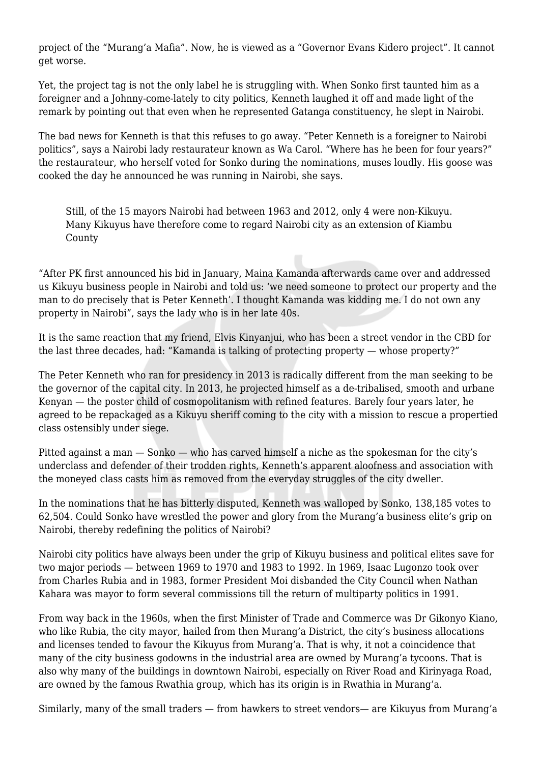project of the "Murang'a Mafia". Now, he is viewed as a "Governor Evans Kidero project". It cannot get worse.

Yet, the project tag is not the only label he is struggling with. When Sonko first taunted him as a foreigner and a Johnny-come-lately to city politics, Kenneth laughed it off and made light of the remark by pointing out that even when he represented Gatanga constituency, he slept in Nairobi.

The bad news for Kenneth is that this refuses to go away. "Peter Kenneth is a foreigner to Nairobi politics", says a Nairobi lady restaurateur known as Wa Carol. "Where has he been for four years?" the restaurateur, who herself voted for Sonko during the nominations, muses loudly. His goose was cooked the day he announced he was running in Nairobi, she says.

Still, of the 15 mayors Nairobi had between 1963 and 2012, only 4 were non-Kikuyu. Many Kikuyus have therefore come to regard Nairobi city as an extension of Kiambu County

"After PK first announced his bid in January, Maina Kamanda afterwards came over and addressed us Kikuyu business people in Nairobi and told us: 'we need someone to protect our property and the man to do precisely that is Peter Kenneth'. I thought Kamanda was kidding me. I do not own any property in Nairobi", says the lady who is in her late 40s.

It is the same reaction that my friend, Elvis Kinyanjui, who has been a street vendor in the CBD for the last three decades, had: "Kamanda is talking of protecting property — whose property?"

The Peter Kenneth who ran for presidency in 2013 is radically different from the man seeking to be the governor of the capital city. In 2013, he projected himself as a de-tribalised, smooth and urbane Kenyan — the poster child of cosmopolitanism with refined features. Barely four years later, he agreed to be repackaged as a Kikuyu sheriff coming to the city with a mission to rescue a propertied class ostensibly under siege.

Pitted against a man — Sonko — who has carved himself a niche as the spokesman for the city's underclass and defender of their trodden rights, Kenneth's apparent aloofness and association with the moneyed class casts him as removed from the everyday struggles of the city dweller.

In the nominations that he has bitterly disputed, Kenneth was walloped by Sonko, 138,185 votes to 62,504. Could Sonko have wrestled the power and glory from the Murang'a business elite's grip on Nairobi, thereby redefining the politics of Nairobi?

Nairobi city politics have always been under the grip of Kikuyu business and political elites save for two major periods — between 1969 to 1970 and 1983 to 1992. In 1969, Isaac Lugonzo took over from Charles Rubia and in 1983, former President Moi disbanded the City Council when Nathan Kahara was mayor to form several commissions till the return of multiparty politics in 1991.

From way back in the 1960s, when the first Minister of Trade and Commerce was Dr Gikonyo Kiano, who like Rubia, the city mayor, hailed from then Murang'a District, the city's business allocations and licenses tended to favour the Kikuyus from Murang'a. That is why, it not a coincidence that many of the city business godowns in the industrial area are owned by Murang'a tycoons. That is also why many of the buildings in downtown Nairobi, especially on River Road and Kirinyaga Road, are owned by the famous Rwathia group, which has its origin is in Rwathia in Murang'a.

Similarly, many of the small traders — from hawkers to street vendors— are Kikuyus from Murang'a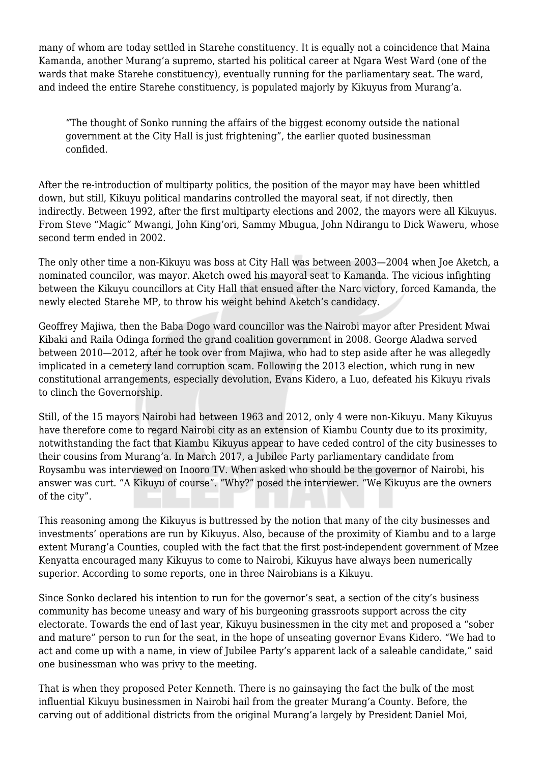many of whom are today settled in Starehe constituency. It is equally not a coincidence that Maina Kamanda, another Murang'a supremo, started his political career at Ngara West Ward (one of the wards that make Starehe constituency), eventually running for the parliamentary seat. The ward, and indeed the entire Starehe constituency, is populated majorly by Kikuyus from Murang'a.

"The thought of Sonko running the affairs of the biggest economy outside the national government at the City Hall is just frightening", the earlier quoted businessman confided.

After the re-introduction of multiparty politics, the position of the mayor may have been whittled down, but still, Kikuyu political mandarins controlled the mayoral seat, if not directly, then indirectly. Between 1992, after the first multiparty elections and 2002, the mayors were all Kikuyus. From Steve "Magic" Mwangi, John King'ori, Sammy Mbugua, John Ndirangu to Dick Waweru, whose second term ended in 2002.

The only other time a non-Kikuyu was boss at City Hall was between 2003—2004 when Joe Aketch, a nominated councilor, was mayor. Aketch owed his mayoral seat to Kamanda. The vicious infighting between the Kikuyu councillors at City Hall that ensued after the Narc victory, forced Kamanda, the newly elected Starehe MP, to throw his weight behind Aketch's candidacy.

Geoffrey Majiwa, then the Baba Dogo ward councillor was the Nairobi mayor after President Mwai Kibaki and Raila Odinga formed the grand coalition government in 2008. George Aladwa served between 2010—2012, after he took over from Majiwa, who had to step aside after he was allegedly implicated in a cemetery land corruption scam. Following the 2013 election, which rung in new constitutional arrangements, especially devolution, Evans Kidero, a Luo, defeated his Kikuyu rivals to clinch the Governorship.

Still, of the 15 mayors Nairobi had between 1963 and 2012, only 4 were non-Kikuyu. Many Kikuyus have therefore come to regard Nairobi city as an extension of Kiambu County due to its proximity, notwithstanding the fact that Kiambu Kikuyus appear to have ceded control of the city businesses to their cousins from Murang'a. In March 2017, a Jubilee Party parliamentary candidate from Roysambu was interviewed on Inooro TV. When asked who should be the governor of Nairobi, his answer was curt. "A Kikuyu of course". "Why?" posed the interviewer. "We Kikuyus are the owners of the city".

This reasoning among the Kikuyus is buttressed by the notion that many of the city businesses and investments' operations are run by Kikuyus. Also, because of the proximity of Kiambu and to a large extent Murang'a Counties, coupled with the fact that the first post-independent government of Mzee Kenyatta encouraged many Kikuyus to come to Nairobi, Kikuyus have always been numerically superior. According to some reports, one in three Nairobians is a Kikuyu.

Since Sonko declared his intention to run for the governor's seat, a section of the city's business community has become uneasy and wary of his burgeoning grassroots support across the city electorate. Towards the end of last year, Kikuyu businessmen in the city met and proposed a "sober and mature" person to run for the seat, in the hope of unseating governor Evans Kidero. "We had to act and come up with a name, in view of Jubilee Party's apparent lack of a saleable candidate," said one businessman who was privy to the meeting.

That is when they proposed Peter Kenneth. There is no gainsaying the fact the bulk of the most influential Kikuyu businessmen in Nairobi hail from the greater Murang'a County. Before, the carving out of additional districts from the original Murang'a largely by President Daniel Moi,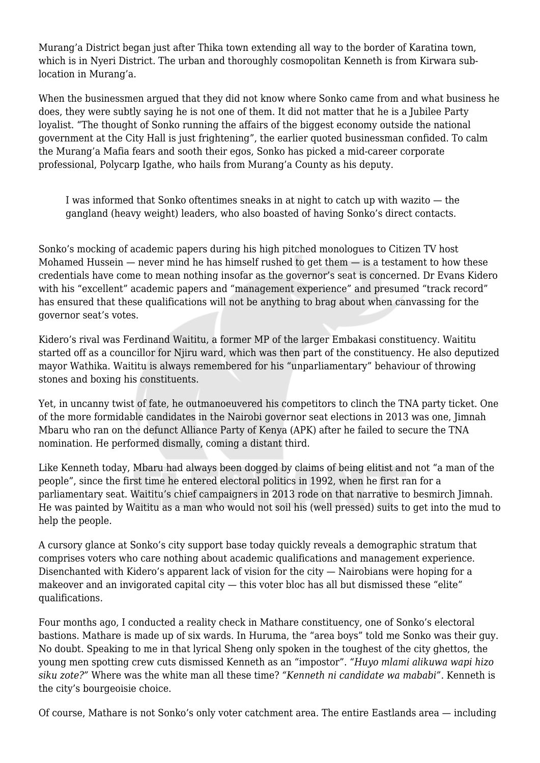Murang'a District began just after Thika town extending all way to the border of Karatina town, which is in Nyeri District. The urban and thoroughly cosmopolitan Kenneth is from Kirwara sublocation in Murang'a.

When the businessmen argued that they did not know where Sonko came from and what business he does, they were subtly saying he is not one of them. It did not matter that he is a Jubilee Party loyalist. "The thought of Sonko running the affairs of the biggest economy outside the national government at the City Hall is just frightening", the earlier quoted businessman confided. To calm the Murang'a Mafia fears and sooth their egos, Sonko has picked a mid-career corporate professional, Polycarp Igathe, who hails from Murang'a County as his deputy.

I was informed that Sonko oftentimes sneaks in at night to catch up with wazito — the gangland (heavy weight) leaders, who also boasted of having Sonko's direct contacts.

Sonko's mocking of academic papers during his high pitched monologues to Citizen TV host Mohamed Hussein  $-$  never mind he has himself rushed to get them  $-$  is a testament to how these credentials have come to mean nothing insofar as the governor's seat is concerned. Dr Evans Kidero with his "excellent" academic papers and "management experience" and presumed "track record" has ensured that these qualifications will not be anything to brag about when canvassing for the governor seat's votes.

Kidero's rival was Ferdinand Waititu, a former MP of the larger Embakasi constituency. Waititu started off as a councillor for Njiru ward, which was then part of the constituency. He also deputized mayor Wathika. Waititu is always remembered for his "unparliamentary" behaviour of throwing stones and boxing his constituents.

Yet, in uncanny twist of fate, he outmanoeuvered his competitors to clinch the TNA party ticket. One of the more formidable candidates in the Nairobi governor seat elections in 2013 was one, Jimnah Mbaru who ran on the defunct Alliance Party of Kenya (APK) after he failed to secure the TNA nomination. He performed dismally, coming a distant third.

Like Kenneth today, Mbaru had always been dogged by claims of being elitist and not "a man of the people", since the first time he entered electoral politics in 1992, when he first ran for a parliamentary seat. Waititu's chief campaigners in 2013 rode on that narrative to besmirch Jimnah. He was painted by Waititu as a man who would not soil his (well pressed) suits to get into the mud to help the people.

A cursory glance at Sonko's city support base today quickly reveals a demographic stratum that comprises voters who care nothing about academic qualifications and management experience. Disenchanted with Kidero's apparent lack of vision for the city — Nairobians were hoping for a makeover and an invigorated capital city — this voter bloc has all but dismissed these "elite" qualifications.

Four months ago, I conducted a reality check in Mathare constituency, one of Sonko's electoral bastions. Mathare is made up of six wards. In Huruma, the "area boys" told me Sonko was their guy. No doubt. Speaking to me in that lyrical Sheng only spoken in the toughest of the city ghettos, the young men spotting crew cuts dismissed Kenneth as an "impostor". *"Huyo mlami alikuwa wapi hizo siku zote?"* Where was the white man all these time? *"Kenneth ni candidate wa mababi".* Kenneth is the city's bourgeoisie choice.

Of course, Mathare is not Sonko's only voter catchment area. The entire Eastlands area — including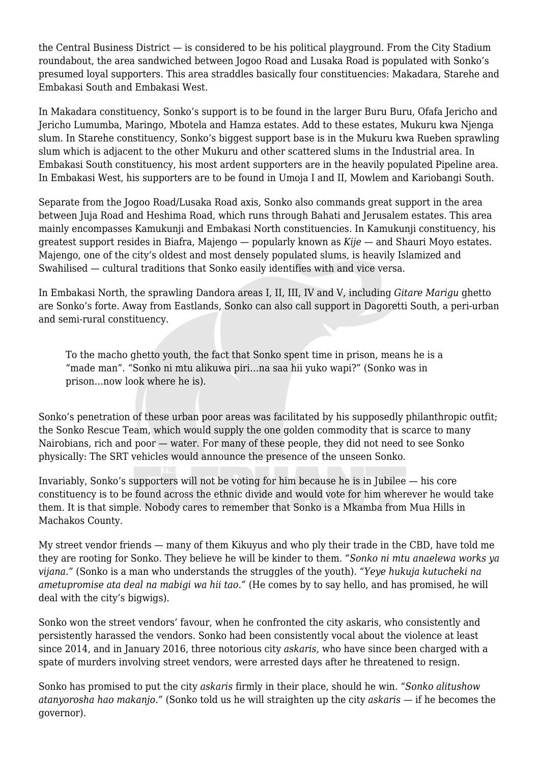the Central Business District — is considered to be his political playground. From the City Stadium roundabout, the area sandwiched between Jogoo Road and Lusaka Road is populated with Sonko's presumed loyal supporters. This area straddles basically four constituencies: Makadara, Starehe and Embakasi South and Embakasi West.

In Makadara constituency, Sonko's support is to be found in the larger Buru Buru, Ofafa Jericho and Jericho Lumumba, Maringo, Mbotela and Hamza estates. Add to these estates, Mukuru kwa Njenga slum. In Starehe constituency, Sonko's biggest support base is in the Mukuru kwa Rueben sprawling slum which is adjacent to the other Mukuru and other scattered slums in the Industrial area. In Embakasi South constituency, his most ardent supporters are in the heavily populated Pipeline area. In Embakasi West, his supporters are to be found in Umoja I and II, Mowlem and Kariobangi South.

Separate from the Jogoo Road/Lusaka Road axis, Sonko also commands great support in the area between Juja Road and Heshima Road, which runs through Bahati and Jerusalem estates. This area mainly encompasses Kamukunji and Embakasi North constituencies. In Kamukunji constituency, his greatest support resides in Biafra, Majengo — popularly known as *Kije* — and Shauri Moyo estates. Majengo, one of the city's oldest and most densely populated slums, is heavily Islamized and Swahilised — cultural traditions that Sonko easily identifies with and vice versa.

In Embakasi North, the sprawling Dandora areas I, II, III, IV and V, including *Gitare Marigu* ghetto are Sonko's forte. Away from Eastlands, Sonko can also call support in Dagoretti South, a peri-urban and semi-rural constituency.

To the macho ghetto youth, the fact that Sonko spent time in prison, means he is a "made man". "Sonko ni mtu alikuwa piri…na saa hii yuko wapi?" (Sonko was in prison…now look where he is).

Sonko's penetration of these urban poor areas was facilitated by his supposedly philanthropic outfit; the Sonko Rescue Team, which would supply the one golden commodity that is scarce to many Nairobians, rich and poor — water. For many of these people, they did not need to see Sonko physically: The SRT vehicles would announce the presence of the unseen Sonko.

Invariably, Sonko's supporters will not be voting for him because he is in Jubilee — his core constituency is to be found across the ethnic divide and would vote for him wherever he would take them. It is that simple. Nobody cares to remember that Sonko is a Mkamba from Mua Hills in Machakos County.

My street vendor friends — many of them Kikuyus and who ply their trade in the CBD, have told me they are rooting for Sonko. They believe he will be kinder to them. *"Sonko ni mtu anaelewa works ya vijana."* (Sonko is a man who understands the struggles of the youth). *"Yeye hukuja kutucheki na ametupromise ata deal na mabigi wa hii tao."* (He comes by to say hello, and has promised, he will deal with the city's bigwigs).

Sonko won the street vendors' favour, when he confronted the city askaris, who consistently and persistently harassed the vendors. Sonko had been consistently vocal about the violence at least since 2014, and in January 2016, three notorious city *askaris,* who have since been charged with a spate of murders involving street vendors, were arrested days after he threatened to resign.

Sonko has promised to put the city *askaris* firmly in their place, should he win. *"Sonko alitushow atanyorosha hao makanjo."* (Sonko told us he will straighten up the city *askaris* — if he becomes the governor).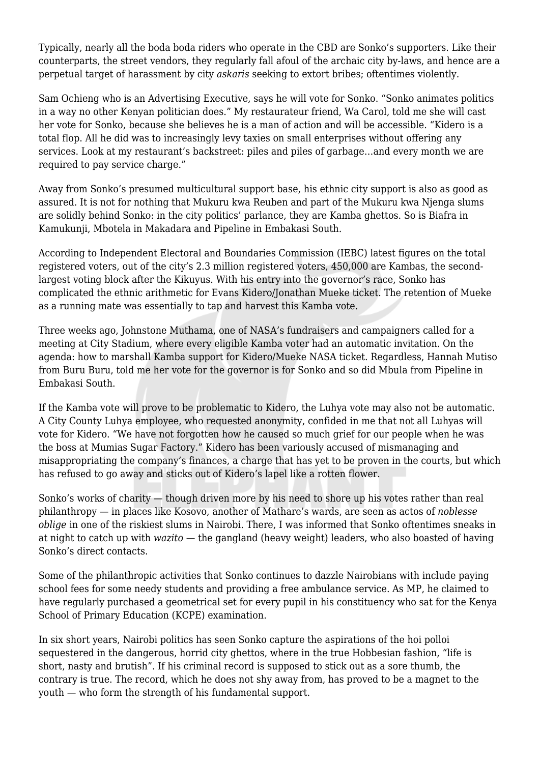Typically, nearly all the boda boda riders who operate in the CBD are Sonko's supporters. Like their counterparts, the street vendors, they regularly fall afoul of the archaic city by-laws, and hence are a perpetual target of harassment by city *askaris* seeking to extort bribes; oftentimes violently.

Sam Ochieng who is an Advertising Executive, says he will vote for Sonko. "Sonko animates politics in a way no other Kenyan politician does." My restaurateur friend, Wa Carol, told me she will cast her vote for Sonko, because she believes he is a man of action and will be accessible. "Kidero is a total flop. All he did was to increasingly levy taxies on small enterprises without offering any services. Look at my restaurant's backstreet: piles and piles of garbage…and every month we are required to pay service charge."

Away from Sonko's presumed multicultural support base, his ethnic city support is also as good as assured. It is not for nothing that Mukuru kwa Reuben and part of the Mukuru kwa Njenga slums are solidly behind Sonko: in the city politics' parlance, they are Kamba ghettos. So is Biafra in Kamukunji, Mbotela in Makadara and Pipeline in Embakasi South.

According to Independent Electoral and Boundaries Commission (IEBC) latest figures on the total registered voters, out of the city's 2.3 million registered voters, 450,000 are Kambas, the secondlargest voting block after the Kikuyus. With his entry into the governor's race, Sonko has complicated the ethnic arithmetic for Evans Kidero/Jonathan Mueke ticket. The retention of Mueke as a running mate was essentially to tap and harvest this Kamba vote.

Three weeks ago, Johnstone Muthama, one of NASA's fundraisers and campaigners called for a meeting at City Stadium, where every eligible Kamba voter had an automatic invitation. On the agenda: how to marshall Kamba support for Kidero/Mueke NASA ticket. Regardless, Hannah Mutiso from Buru Buru, told me her vote for the governor is for Sonko and so did Mbula from Pipeline in Embakasi South.

If the Kamba vote will prove to be problematic to Kidero, the Luhya vote may also not be automatic. A City County Luhya employee, who requested anonymity, confided in me that not all Luhyas will vote for Kidero. "We have not forgotten how he caused so much grief for our people when he was the boss at Mumias Sugar Factory." Kidero has been variously accused of mismanaging and misappropriating the company's finances, a charge that has yet to be proven in the courts, but which has refused to go away and sticks out of Kidero's lapel like a rotten flower.

Sonko's works of charity — though driven more by his need to shore up his votes rather than real philanthropy — in places like Kosovo, another of Mathare's wards, are seen as actos of *noblesse oblige* in one of the riskiest slums in Nairobi. There, I was informed that Sonko oftentimes sneaks in at night to catch up with *wazito* — the gangland (heavy weight) leaders, who also boasted of having Sonko's direct contacts.

Some of the philanthropic activities that Sonko continues to dazzle Nairobians with include paying school fees for some needy students and providing a free ambulance service. As MP, he claimed to have regularly purchased a geometrical set for every pupil in his constituency who sat for the Kenya School of Primary Education (KCPE) examination.

In six short years, Nairobi politics has seen Sonko capture the aspirations of the hoi polloi sequestered in the dangerous, horrid city ghettos, where in the true Hobbesian fashion, "life is short, nasty and brutish". If his criminal record is supposed to stick out as a sore thumb, the contrary is true. The record, which he does not shy away from, has proved to be a magnet to the youth — who form the strength of his fundamental support.